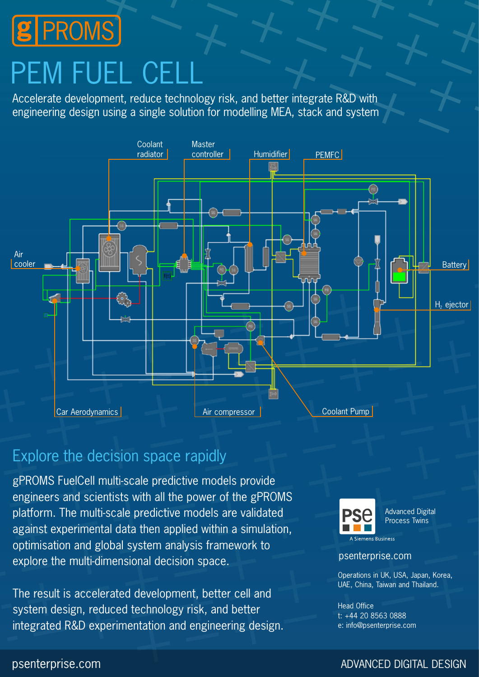

# PEM FUEL CEL

Accelerate development, reduce technology risk, and better integrate R&D with engineering design using a single solution for modelling MEA, stack and system



# Explore the decision space rapidly

gPROMS FuelCell multi-scale predictive models provide engineers and scientists with all the power of the gPROMS platform. The multi-scale predictive models are validated against experimental data then applied within a simulation, optimisation and global system analysis framework to explore the multi-dimensional decision space.

The result is accelerated development, better cell and system design, reduced technology risk, and better integrated R&D experimentation and engineering design.



Advanced Digital Process Twins

A Siemens Business

#### psenterprise.com

Operations in UK, USA, Japan, Korea, UAE, China, Taiwan and Thailand.

Head Office t: +44 20 8563 0888 e: info@psenterprise.com

#### psenterprise.com and a settlement of the comparison of the comparison of the comparison of the comparison of the comparison of the comparison of the comparison of the comparison of the comparison of the comparison of the c